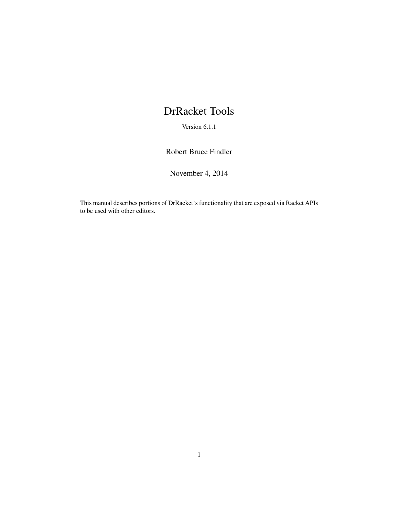# DrRacket Tools

Version 6.1.1

Robert Bruce Findler

November 4, 2014

This manual describes portions of DrRacket's functionality that are exposed via Racket APIs to be used with other editors.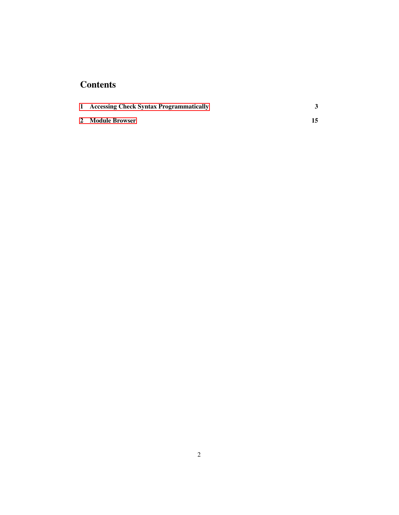## **Contents**

| 1 Accessing Check Syntax Programmatically |  |
|-------------------------------------------|--|
| 2 Module Browser                          |  |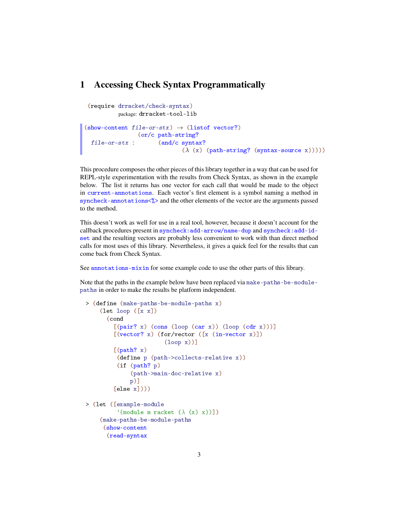### <span id="page-2-0"></span>1 Accessing Check Syntax Programmatically

```
(require drracket/check-syntax)
           package: drracket-tool-lib
(\text{show-content file-or-stx}) \rightarrow (\text{listof vector})file-or-stx :
(and/c syntax?
                (or/c path-string?
                                (\lambda (x) (path-string? (syntax-source x)))))
```
This procedure composes the other pieces of this library together in a way that can be used for REPL-style experimentation with the results from Check Syntax, as shown in the example below. The list it returns has one vector for each call that would be made to the object in current-annotations. Each vector's first element is a symbol naming a method in syncheck-annotations<%> and the other elements of the vector are the arguments passed to the method.

This doesn't work as well for use in a real tool, however, because it doesn't account for the callback procedures present in syncheck:add-arrow/name-dup and syncheck:add-idset and the resulting vectors are probably less convenient to work with than direct method calls for most uses of this library. Nevertheless, it gives a quick feel for the results that can come back from Check Syntax.

See annotations-mixin for some example code to use the other parts of this library.

Note that the paths in the example below have been replaced via make-paths-be-modulepaths in order to make the results be platform independent.

```
> (define (make-paths-be-module-paths x)
    (let loop ([x x])
      (cond
        [(pair? x) (cons (loop (car x)) (loop (cdr x)))][(vector? x) (for/vector ([x (in-vector x)]))](loop x))]
        [(path? x)](define p (path->collects-relative x))
         (if (path? p)
             (path->main-doc-relative x)
             p)]
        [else x]))> (let ([example-module
         '(module m racket (\lambda(x) x)))
    (make-paths-be-module-paths
     (show-content
      (read-syntax
```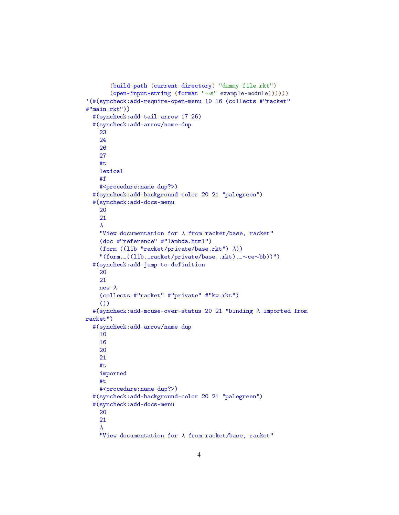```
(build-path (current-directory) "dummy-file.rkt")
       (open-input-string (format "∼s" example-module))))))
'(#(syncheck:add-require-open-menu 10 16 (collects #"racket"
#"main.rkt"))
  #(syncheck:add-tail-arrow 17 26)
  #(syncheck:add-arrow/name-dup
    23
    24
    26
    27
    #t
    lexical
    #f
    #<procedure:name-dup?>)
  #(syncheck:add-background-color 20 21 "palegreen")
  #(syncheck:add-docs-menu
    20
    21
    λ
    "View documentation for \lambda from racket/base, racket"
    (doc #"reference" #"lambda.html")
    (form ((lib "racket/private/base.rkt") \lambda))"(form._((lib._racket/private/base..rkt)._∼ce∼bb))")
  #(syncheck:add-jump-to-definition
    20
    21
    new-\lambda(collects #"racket" #"private" #"kw.rkt")
    ())
  #(syncheck:add-mouse-over-status 20 21 "binding \lambda imported from
racket")
  #(syncheck:add-arrow/name-dup
    10
    16
    20
    21
    #t
    imported
    #t
    #<procedure:name-dup?>)
  #(syncheck:add-background-color 20 21 "palegreen")
  #(syncheck:add-docs-menu
    20
    21
    λ
    "View documentation for \lambda from racket/base, racket"
```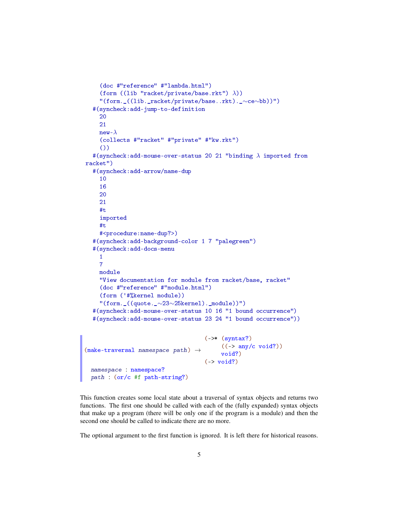```
(doc #"reference" #"lambda.html")
    (form ((lib "racket/private/base.rkt") λ))
    "(form._((lib._racket/private/base..rkt)._∼ce∼bb))")
  #(syncheck:add-jump-to-definition
    20
    21
    new-\lambda(collects #"racket" #"private" #"kw.rkt")
    ())
  #(syncheck:add-mouse-over-status 20 21 "binding \lambda imported from
racket")
  #(syncheck:add-arrow/name-dup
    10
    16
    20
    21
    #t
    imported
    #t
    #<procedure:name-dup?>)
  #(syncheck:add-background-color 1 7 "palegreen")
  #(syncheck:add-docs-menu
    1
    7
    module
    "View documentation for module from racket/base, racket"
    (doc #"reference" #"module.html")
    (form ('#%kernel module))
    "(form._((quote._∼23∼25kernel)._module))")
  #(syncheck:add-mouse-over-status 10 16 "1 bound occurrence")
  #(syncheck:add-mouse-over-status 23 24 "1 bound occurrence"))
(make-traversal namespace path) \rightarrow \text{void?}(-)* (syntax?)((\rightarrow any/c void?))
                                    (\rightarrow \text{void?)}namespace : namespace?
 path : (or/c #f path-string?)
```
This function creates some local state about a traversal of syntax objects and returns two functions. The first one should be called with each of the (fully expanded) syntax objects that make up a program (there will be only one if the program is a module) and then the second one should be called to indicate there are no more.

The optional argument to the first function is ignored. It is left there for historical reasons.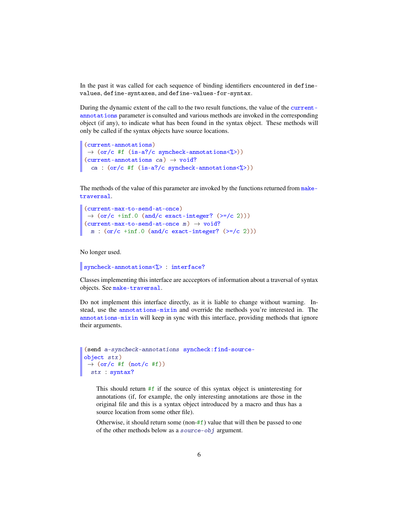In the past it was called for each sequence of binding identifiers encountered in definevalues, define-syntaxes, and define-values-for-syntax.

During the dynamic extent of the call to the two result functions, the value of the currentannotations parameter is consulted and various methods are invoked in the corresponding object (if any), to indicate what has been found in the syntax object. These methods will only be called if the syntax objects have source locations.

```
(current-annotations)
\rightarrow (or/c #f (is-a?/c syncheck-annotations<%>))
(current-annotations ca) \rightarrow void?
  ca : (or/c #f (is-a?/c syncheck-annotations<%>))
```
The methods of the value of this parameter are invoked by the functions returned from maketraversal.

```
(current-max-to-send-at-once)
\rightarrow (or/c +inf.0 (and/c exact-integer? (>=/c 2)))
(current-max-to-send-att-once m) \rightarrow void?m : (or/c + inf.0 (and/c exact-integer? (>=/c 2))
```
No longer used.

```
syncheck-annotations<%> : interface?
```
Classes implementing this interface are accceptors of information about a traversal of syntax objects. See make-traversal.

Do not implement this interface directly, as it is liable to change without warning. Instead, use the annotations-mixin and override the methods you're interested in. The annotations-mixin will keep in sync with this interface, providing methods that ignore their arguments.

```
(send a-syncheck-annotations syncheck:find-source-
object stx)
\rightarrow (or/c #f (not/c #f))
stx : syntax?
```
This should return  $#f$  if the source of this syntax object is uninteresting for annotations (if, for example, the only interesting annotations are those in the original file and this is a syntax object introduced by a macro and thus has a source location from some other file).

Otherwise, it should return some (non- $#f$ ) value that will then be passed to one of the other methods below as a source-obj argument.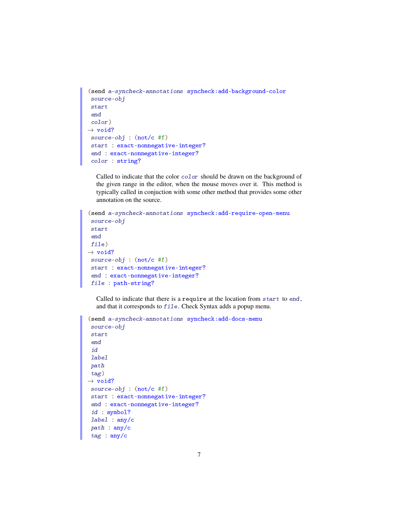```
(send a-syncheck-annotations syncheck:add-background-color
 source-obj
start
end
color)
\rightarrow void?
source-obj : (not/c #f)
start : exact-nonnegative-integer?
end : exact-nonnegative-integer?
color : string?
```
Called to indicate that the color color should be drawn on the background of the given range in the editor, when the mouse moves over it. This method is typically called in conjuction with some other method that provides some other annotation on the source.

```
(send a-syncheck-annotations syncheck:add-require-open-menu
 source-obj
start
end
file)
\rightarrow void?
source-obj : (not/c #f)
start : exact-nonnegative-integer?
 end : exact-nonnegative-integer?
file : path-string?
```
Called to indicate that there is a require at the location from start to end, and that it corresponds to file. Check Syntax adds a popup menu.

```
(send a-syncheck-annotations syncheck:add-docs-menu
 source-obj
 start
 end
 id
label
path
tag)
\rightarrow void?
source-obj : (not/c #f)
start : exact-nonnegative-integer?
end : exact-nonnegative-integer?
id : symbol?
label : any/c
path : any/c
 tag : any/c
```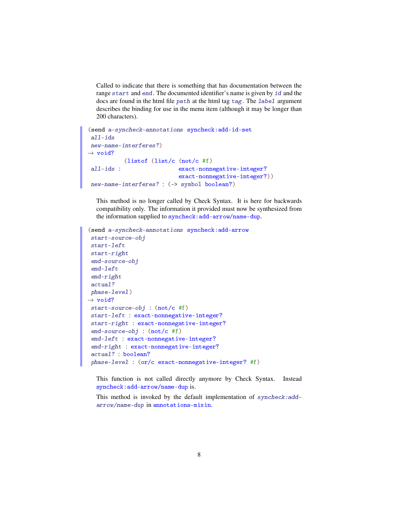Called to indicate that there is something that has documentation between the range start and end. The documented identifier's name is given by id and the docs are found in the html file path at the html tag tag. The label argument describes the binding for use in the menu item (although it may be longer than 200 characters).

```
(send a-syncheck-annotations syncheck:add-id-set
all-ids
new-name-interferes?)
\rightarrow void?
all-ids :
         (listof (list/c (not/c #f)
                           exact-nonnegative-integer?
                           exact-nonnegative-integer?))
new-name-interferes? : (-> symbol boolean?)
```
This method is no longer called by Check Syntax. It is here for backwards compatibility only. The information it provided must now be synthesized from the information supplied to syncheck:add-arrow/name-dup.

```
(send a-syncheck-annotations syncheck:add-arrow
 start-source-obj
 start-left
start-right
 end-source-obj
 end-left
end-right
actual?
phase-level)
\rightarrow void?
start-source-obj : (not/c #f)
 start-left : exact-nonnegative-integer?
start-right : exact-nonnegative-integer?
end-source-obj : (not/c #f)
end-left : exact-nonnegative-integer?
end-right : exact-nonnegative-integer?
 actual? : boolean?
 phase-level : (or/c exact-nonnegative-integer? #f)
```
This function is not called directly anymore by Check Syntax. Instead syncheck:add-arrow/name-dup is.

This method is invoked by the default implementation of syncheck:addarrow/name-dup in annotations-mixin.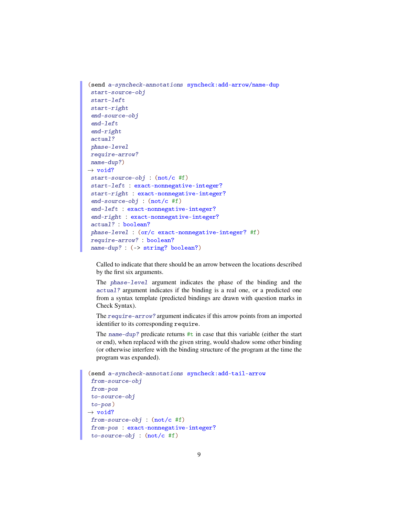```
(send a-syncheck-annotations syncheck:add-arrow/name-dup
 start-source-obj
start-left
start-right
end-source-obj
 end-left
end-right
actual?
phase-level
require-arrow?
name-dup?)
\rightarrow void?
start-source-obj : (not/c #f)
start-left : exact-nonnegative-integer?
start-right : exact-nonnegative-integer?
end-source-obj : (not/c #f)
end-left : exact-nonnegative-integer?
end-right : exact-nonnegative-integer?
actual? : boolean?
phase-level : (or/c exact-nonnegative-integer? #f)
 require-arrow? : boolean?
 name-dup? : (-> string? boolean?)
```
Called to indicate that there should be an arrow between the locations described by the first six arguments.

The phase-level argument indicates the phase of the binding and the actual? argument indicates if the binding is a real one, or a predicted one from a syntax template (predicted bindings are drawn with question marks in Check Syntax).

The require-arrow? argument indicates if this arrow points from an imported identifier to its corresponding require.

The name-dup? predicate returns  $\#t$  in case that this variable (either the start or end), when replaced with the given string, would shadow some other binding (or otherwise interfere with the binding structure of the program at the time the program was expanded).

```
(send a-syncheck-annotations syncheck:add-tail-arrow
 from-source-obj
from-pos
to-source-obj
to-pos)
\rightarrow void?
from-source-obj : (not/c #f)
from-pos : exact-nonnegative-integer?
 to-source-obj : (not/c #f)
```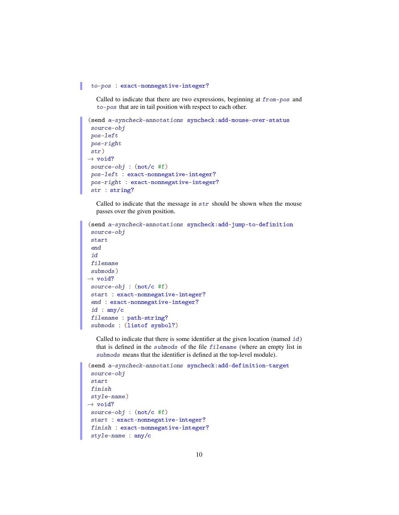#### to-pos : exact-nonnegative-integer?

Called to indicate that there are two expressions, beginning at from-pos and to-pos that are in tail position with respect to each other.

```
(send a-syncheck-annotations syncheck:add-mouse-over-status
 source-obj
pos-left
 pos-right
 str)
\rightarrow void?
source-obj : (not/c #f)
 pos-left : exact-nonnegative-integer?
pos-right : exact-nonnegative-integer?
str : string?
```
Called to indicate that the message in str should be shown when the mouse passes over the given position.

```
(send a-syncheck-annotations syncheck:add-jump-to-definition
 source-obj
 start
 end
 id
filename
submods)
\rightarrow void?
source-obj : (not/c #f)
 start : exact-nonnegative-integer?
end : exact-nonnegative-integer?
id : any/c
filename : path-string?
 submods : (listof symbol?)
```
Called to indicate that there is some identifier at the given location (named id) that is defined in the submods of the file filename (where an empty list in submods means that the identifier is defined at the top-level module).

```
(send a-syncheck-annotations syncheck:add-definition-target
 source-obj
 start
finish
style-name)
\rightarrow void?
source-obj : (not/c #f)
start : exact-nonnegative-integer?
finish : exact-nonnegative-integer?
 style-name : any/c
```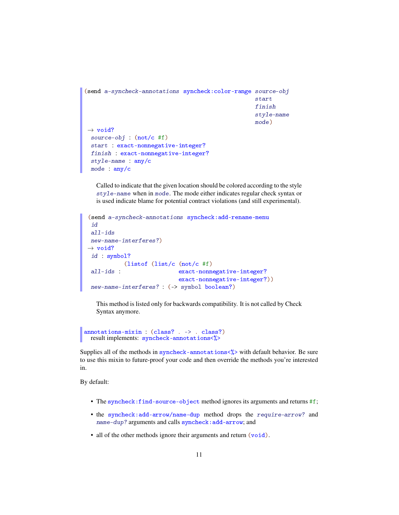```
(send a-syncheck-annotations syncheck:color-range source-obj
                                                     start
                                                     finish
                                                     style-name
                                                     mode)
\rightarrow void?
 source-obj : (not/c #f)
 start : exact-nonnegative-integer?
 finish : exact-nonnegative-integer?
 style-name : any/c
 mode : any/c
```
Called to indicate that the given location should be colored according to the style style-name when in mode. The mode either indicates regular check syntax or is used indicate blame for potential contract violations (and still experimental).

```
(send a-syncheck-annotations syncheck:add-rename-menu
id
all-ids
new-name-interferes?)
\rightarrow void?
id : symbol?
 all-ids :
  (listof (list/c (not/c #f)
                           exact-nonnegative-integer?
                           exact-nonnegative-integer?))
new-name-interferes? : (-> symbol boolean?)
```
This method is listed only for backwards compatibility. It is not called by Check Syntax anymore.

annotations-mixin : (class? . -> . class?) result implements: syncheck-annotations<%>

Supplies all of the methods in syncheck-annotations  $\langle \rangle$  with default behavior. Be sure to use this mixin to future-proof your code and then override the methods you're interested in.

By default:

- The syncheck: find-source-object method ignores its arguments and returns #f;
- the syncheck:add-arrow/name-dup method drops the require-arrow? and name-dup? arguments and calls syncheck:add-arrow; and
- all of the other methods ignore their arguments and return (void).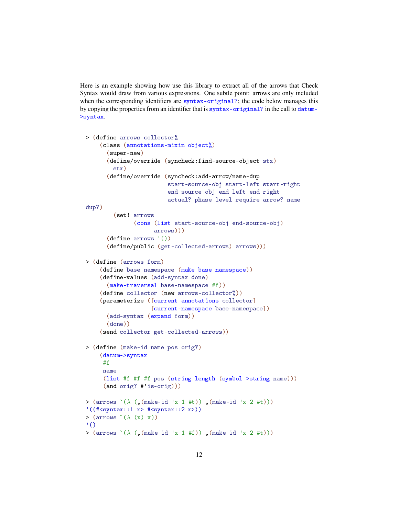Here is an example showing how use this library to extract all of the arrows that Check Syntax would draw from various expressions. One subtle point: arrows are only included when the corresponding identifiers are syntax-original?; the code below manages this by copying the properties from an identifier that is syntax-original? in the call to datum- >syntax.

```
> (define arrows-collector%
    (class (annotations-mixin object%)
      (super-new)
      (define/override (syncheck:find-source-object stx)
        stx)
      (define/override (syncheck:add-arrow/name-dup
                          start-source-obj start-left start-right
                          end-source-obj end-left end-right
                          actual? phase-level require-arrow? name-
dup?)
        (set! arrows
               (cons (list start-source-obj end-source-obj)
                     arrows)))
      (define arrows '())
      (define/public (get-collected-arrows) arrows)))
> (define (arrows form)
    (define base-namespace (make-base-namespace))
    (define-values (add-syntax done)
      (make-traversal base-namespace #f))
    (define collector (new arrows-collector%))
    (parameterize ([current-annotations collector]
                    [current-namespace base-namespace])
      (add-syntax (expand form))
      (done))
    (send collector get-collected-arrows))
> (define (make-id name pos orig?)
    (datum->syntax
     #f
     name
     (list #f #f #f pos (string-length (symbol->string name)))
     (and orig? #'is-orig)))
> (arrows \lambda (\lambda (\cdot, (make-id *x 1 *t)) , (make-id *x 2 *t)))\vee ((# < syntax::1 x > # < syntax::2 x > ))<br>
> (arrows `(\lambda (x) x))
'()
> (arrows \hat{(\lambda)} (, (make-id 'x 1 #f)), (make-id 'x 2 #t)))
```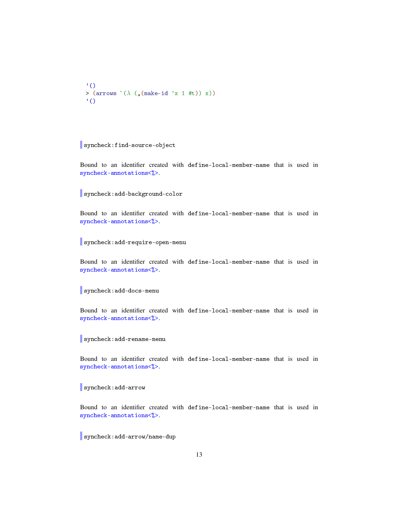```
'()
> (arrows \hat{(\lambda)} (, (make-id 'x 1 #t)) x))
\binom{1}{1}
```

```
syncheck:find-source-object
```
Bound to an identifier created with define-local-member-name that is used in syncheck-annotations<%>.

syncheck:add-background-color

Bound to an identifier created with define-local-member-name that is used in syncheck-annotations<%>.

syncheck:add-require-open-menu

Bound to an identifier created with define-local-member-name that is used in syncheck-annotations<%>.

syncheck:add-docs-menu

Bound to an identifier created with define-local-member-name that is used in syncheck-annotations<%>.

syncheck:add-rename-menu

Bound to an identifier created with define-local-member-name that is used in syncheck-annotations<%>.

syncheck:add-arrow

Bound to an identifier created with define-local-member-name that is used in syncheck-annotations<%>.

syncheck:add-arrow/name-dup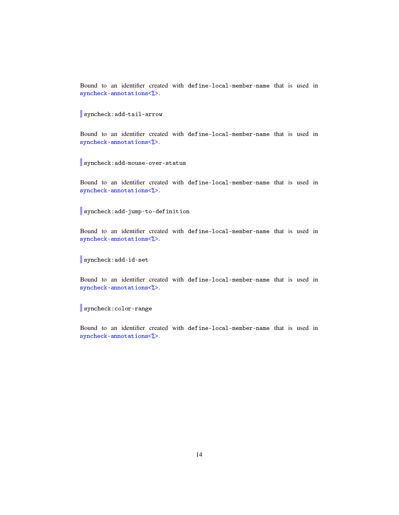Bound to an identifier created with define-local-member-name that is used in syncheck-annotations<%>.

syncheck:add-tail-arrow

Bound to an identifier created with define-local-member-name that is used in syncheck-annotations<%>.

syncheck:add-mouse-over-status

Bound to an identifier created with define-local-member-name that is used in syncheck-annotations<%>.

syncheck:add-jump-to-definition

Bound to an identifier created with define-local-member-name that is used in syncheck-annotations<%>.

syncheck:add-id-set

Bound to an identifier created with define-local-member-name that is used in syncheck-annotations<%>.

syncheck:color-range

Bound to an identifier created with define-local-member-name that is used in syncheck-annotations<%>.